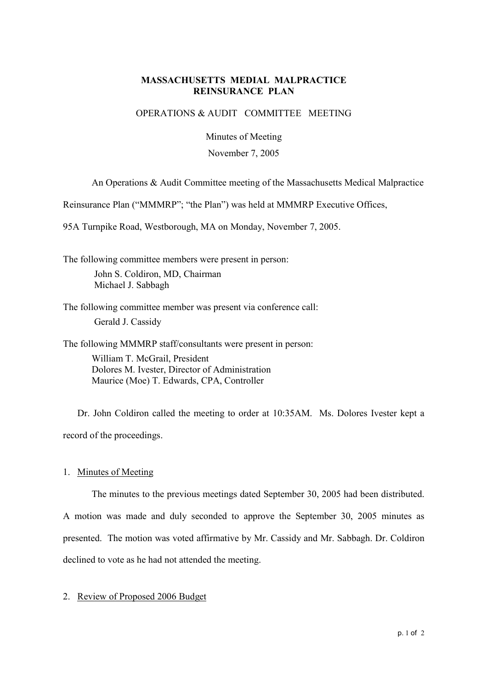## **MASSACHUSETTS MEDIAL MALPRACTICE REINSURANCE PLAN**

## OPERATIONS & AUDIT COMMITTEE MEETING

Minutes of Meeting

#### November 7, 2005

An Operations & Audit Committee meeting of the Massachusetts Medical Malpractice

Reinsurance Plan ("MMMRP"; "the Plan") was held at MMMRP Executive Offices,

95A Turnpike Road, Westborough, MA on Monday, November 7, 2005.

The following committee members were present in person: John S. Coldiron, MD, Chairman Michael J. Sabbagh

The following committee member was present via conference call: Gerald J. Cassidy

The following MMMRP staff/consultants were present in person: William T. McGrail, President Dolores M. Ivester, Director of Administration Maurice (Moe) T. Edwards, CPA, Controller

Dr. John Coldiron called the meeting to order at 10:35AM. Ms. Dolores Ivester kept a record of the proceedings.

1. Minutes of Meeting

The minutes to the previous meetings dated September 30, 2005 had been distributed.

A motion was made and duly seconded to approve the September 30, 2005 minutes as presented. The motion was voted affirmative by Mr. Cassidy and Mr. Sabbagh. Dr. Coldiron declined to vote as he had not attended the meeting.

# 2. Review of Proposed 2006 Budget